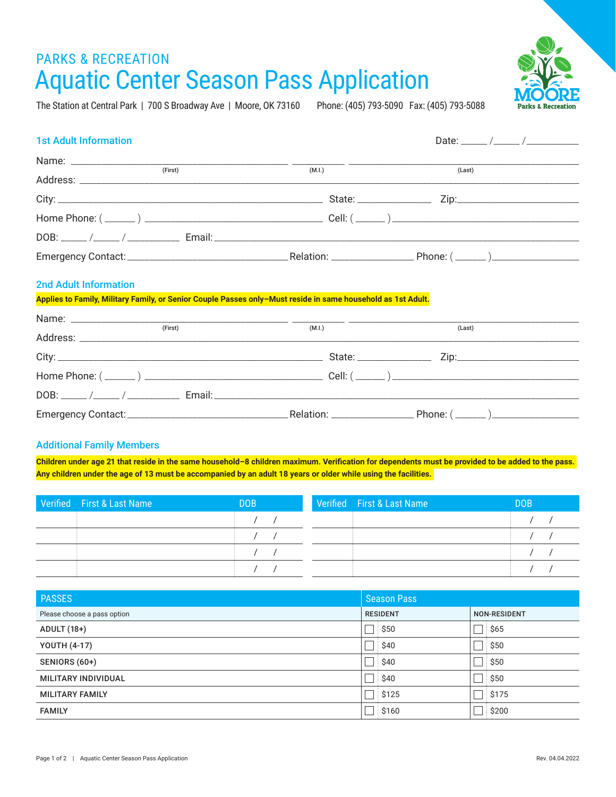# PARKS & RECREATION Aquatic Center Season Pass Application

The Station at Central Park | 700 S Broadway Ave | Moore, OK 73160 Phone: (405) 793-5090 Fax: (405) 793-5088

| <b>1st Adult Information</b>                                                                                                                 |        |        |
|----------------------------------------------------------------------------------------------------------------------------------------------|--------|--------|
|                                                                                                                                              |        |        |
| (First)                                                                                                                                      | (M.I.) | (Last) |
|                                                                                                                                              |        |        |
|                                                                                                                                              |        |        |
|                                                                                                                                              |        |        |
|                                                                                                                                              |        |        |
| <b>2nd Adult Information</b><br>Applies to Family, Military Family, or Senior Couple Passes only–Must reside in same household as 1st Adult. |        |        |
|                                                                                                                                              | (M.I.) |        |
|                                                                                                                                              |        | (Last) |
|                                                                                                                                              |        |        |
|                                                                                                                                              |        |        |
|                                                                                                                                              |        |        |

### Additional Family Members

**Children under age 21 that reside in the same household–8 children maximum. Verification for dependents must be provided to be added to the pass. Any children under the age of 13 must be accompanied by an adult 18 years or older while using the facilities.** 

Emergency Contact: \_\_\_\_\_\_\_\_\_\_\_\_\_\_\_\_\_\_\_\_\_\_\_\_\_\_\_\_\_\_\_\_\_\_\_\_\_Relation: \_\_\_\_\_\_\_\_\_\_\_\_\_\_\_\_\_\_\_ Phone: ( \_\_\_\_\_\_\_ )\_\_\_\_\_\_\_\_\_\_\_\_\_\_\_\_\_\_\_\_

| Verified First & Last Name | <b>DOB</b> | Verified First & Last Name | <b>DOB</b> |
|----------------------------|------------|----------------------------|------------|
|                            |            |                            |            |
|                            |            |                            |            |
|                            |            |                            |            |
|                            |            |                            |            |

| PASSES                      | <b>Season Pass</b> |                     |
|-----------------------------|--------------------|---------------------|
| Please choose a pass option | <b>RESIDENT</b>    | <b>NON-RESIDENT</b> |
| <b>ADULT (18+)</b>          | $\Box$ \$50        | ີ່ \$65             |
| <b>YOUTH (4-17)</b>         | $\Box$ \$40        | $\exists$ \$50      |
| SENIORS (60+)               | $\Box$ \$40        | $\Box$ \$50         |
| MILITARY INDIVIDUAL         | $\Box$ \$40        | $\exists$ \$50      |
| <b>MILITARY FAMILY</b>      | $\Box$ \$125       | $\exists$ \$175     |
| <b>FAMILY</b>               | $\Box$ \$160       | \$200               |